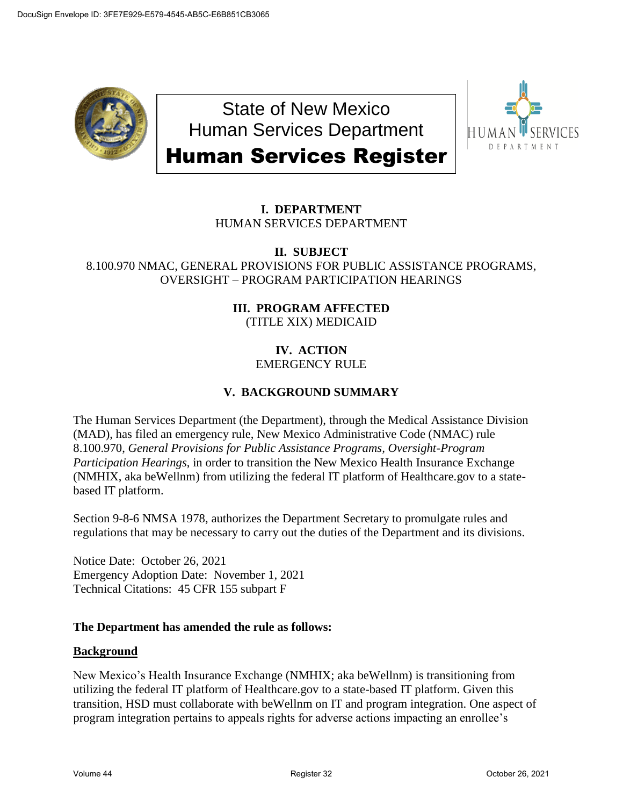

State of New Mexico Human Services Department Human Services Register



# **I. DEPARTMENT** HUMAN SERVICES DEPARTMENT

#### **II. SUBJECT** 8.100.970 NMAC, GENERAL PROVISIONS FOR PUBLIC ASSISTANCE PROGRAMS, OVERSIGHT – PROGRAM PARTICIPATION HEARINGS

## **III. PROGRAM AFFECTED** (TITLE XIX) MEDICAID

#### **IV. ACTION** EMERGENCY RULE

# **V. BACKGROUND SUMMARY**

The Human Services Department (the Department), through the Medical Assistance Division (MAD), has filed an emergency rule, New Mexico Administrative Code (NMAC) rule 8.100.970, *General Provisions for Public Assistance Programs, Oversight-Program Participation Hearings*, in order to transition the New Mexico Health Insurance Exchange (NMHIX, aka beWellnm) from utilizing the federal IT platform of Healthcare.gov to a statebased IT platform.

Section 9-8-6 NMSA 1978, authorizes the Department Secretary to promulgate rules and regulations that may be necessary to carry out the duties of the Department and its divisions.

Notice Date: October 26, 2021 Emergency Adoption Date: November 1, 2021 Technical Citations: 45 CFR 155 subpart F

### **The Department has amended the rule as follows:**

### **Background**

New Mexico's Health Insurance Exchange (NMHIX; aka beWellnm) is transitioning from utilizing the federal IT platform of Healthcare.gov to a state-based IT platform. Given this transition, HSD must collaborate with beWellnm on IT and program integration. One aspect of program integration pertains to appeals rights for adverse actions impacting an enrollee's